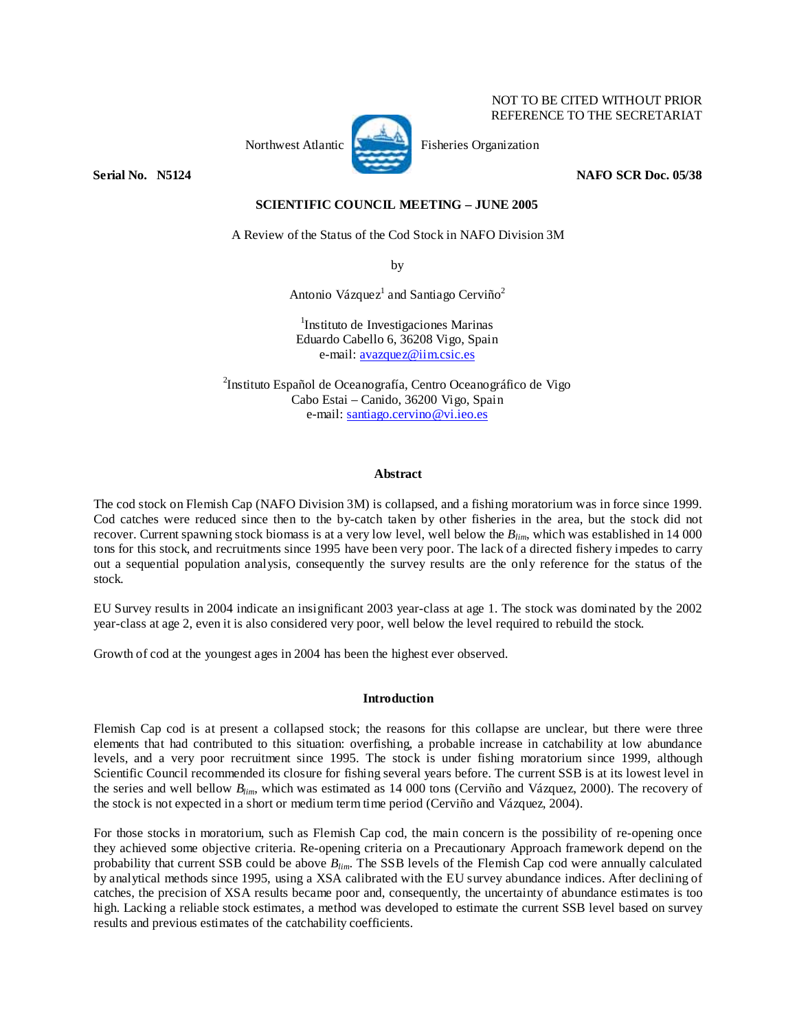Northwest Atlantic **No. 2008** Fisheries Organization

**Serial No. 38124 2006 12:38 2007 12:38 12:38 12:38 12:38 12:38 12:38 12:38 12:38 12:38 12:38 12:38 12:38 12:38** 

NOT TO BE CITED WITHOUT PRIOR REFERENCE TO THE SECRETARIAT

# **SCIENTIFIC COUNCIL MEETING – JUNE 2005**

A Review of the Status of the Cod Stock in NAFO Division 3M

by

Antonio Vázquez<sup>1</sup> and Santiago Cerviño<sup>2</sup>

1 Instituto de Investigaciones Marinas Eduardo Cabello 6, 36208 Vigo, Spain e-mail: avazquez@iim.csic.es

2 Instituto Español de Oceanografía, Centro Oceanográfico de Vigo Cabo Estai – Canido, 36200 Vigo, Spain e-mail: santiago.cervino@vi.ieo.es

# **Abstract**

The cod stock on Flemish Cap (NAFO Division 3M) is collapsed, and a fishing moratorium was in force since 1999. Cod catches were reduced since then to the by-catch taken by other fisheries in the area, but the stock did not recover. Current spawning stock biomass is at a very low level, well below the *Blim*, which was established in 14 000 tons for this stock, and recruitments since 1995 have been very poor. The lack of a directed fishery impedes to carry out a sequential population analysis, consequently the survey results are the only reference for the status of the stock.

EU Survey results in 2004 indicate an insignificant 2003 year-class at age 1. The stock was dominated by the 2002 year-class at age 2, even it is also considered very poor, well below the level required to rebuild the stock.

Growth of cod at the youngest ages in 2004 has been the highest ever observed.

# **Introduction**

Flemish Cap cod is at present a collapsed stock; the reasons for this collapse are unclear, but there were three elements that had contributed to this situation: overfishing, a probable increase in catchability at low abundance levels, and a very poor recruitment since 1995. The stock is under fishing moratorium since 1999, although Scientific Council recommended its closure for fishing several years before. The current SSB is at its lowest level in the series and well bellow *Blim*, which was estimated as 14 000 tons (Cerviño and Vázquez, 2000). The recovery of the stock is not expected in a short or medium term time period (Cerviño and Vázquez, 2004).

For those stocks in moratorium, such as Flemish Cap cod, the main concern is the possibility of re-opening once they achieved some objective criteria. Re-opening criteria on a Precautionary Approach framework depend on the probability that current SSB could be above *Blim*. The SSB levels of the Flemish Cap cod were annually calculated by analytical methods since 1995, using a XSA calibrated with the EU survey abundance indices. After declining of catches, the precision of XSA results became poor and, consequently, the uncertainty of abundance estimates is too high. Lacking a reliable stock estimates, a method was developed to estimate the current SSB level based on survey results and previous estimates of the catchability coefficients.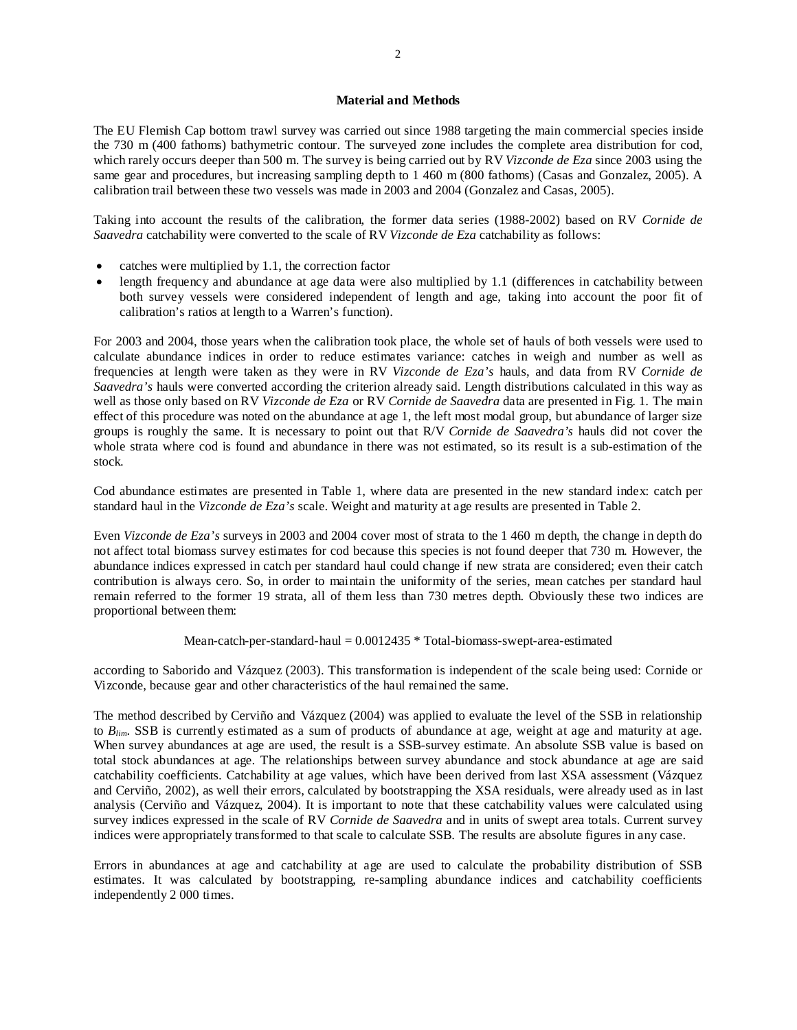## **Material and Methods**

The EU Flemish Cap bottom trawl survey was carried out since 1988 targeting the main commercial species inside the 730 m (400 fathoms) bathymetric contour. The surveyed zone includes the complete area distribution for cod, which rarely occurs deeper than 500 m. The survey is being carried out by RV *Vizconde de Eza* since 2003 using the same gear and procedures, but increasing sampling depth to 1 460 m (800 fathoms) (Casas and Gonzalez, 2005). A calibration trail between these two vessels was made in 2003 and 2004 (Gonzalez and Casas, 2005).

Taking into account the results of the calibration, the former data series (1988-2002) based on RV *Cornide de Saavedra* catchability were converted to the scale of RV *Vizconde de Eza* catchability as follows:

- catches were multiplied by 1.1, the correction factor
- length frequency and abundance at age data were also multiplied by 1.1 (differences in catchability between both survey vessels were considered independent of length and age, taking into account the poor fit of calibration's ratios at length to a Warren's function).

For 2003 and 2004, those years when the calibration took place, the whole set of hauls of both vessels were used to calculate abundance indices in order to reduce estimates variance: catches in weigh and number as well as frequencies at length were taken as they were in RV *Vizconde de Eza's* hauls, and data from RV *Cornide de Saavedra's* hauls were converted according the criterion already said. Length distributions calculated in this way as well as those only based on RV *Vizconde de Eza* or RV *Cornide de Saavedra* data are presented in Fig. 1. The main effect of this procedure was noted on the abundance at age 1, the left most modal group, but abundance of larger size groups is roughly the same. It is necessary to point out that R/V *Cornide de Saavedra's* hauls did not cover the whole strata where cod is found and abundance in there was not estimated, so its result is a sub-estimation of the stock.

Cod abundance estimates are presented in Table 1, where data are presented in the new standard index: catch per standard haul in the *Vizconde de Eza's* scale. Weight and maturity at age results are presented in Table 2.

Even *Vizconde de Eza's* surveys in 2003 and 2004 cover most of strata to the 1 460 m depth, the change in depth do not affect total biomass survey estimates for cod because this species is not found deeper that 730 m. However, the abundance indices expressed in catch per standard haul could change if new strata are considered; even their catch contribution is always cero. So, in order to maintain the uniformity of the series, mean catches per standard haul remain referred to the former 19 strata, all of them less than 730 metres depth. Obviously these two indices are proportional between them:

## Mean-catch-per-standard-haul  $= 0.0012435 * Total-biomass-swept-area-estimated$

according to Saborido and Vázquez (2003). This transformation is independent of the scale being used: Cornide or Vizconde, because gear and other characteristics of the haul remained the same.

The method described by Cerviño and Vázquez (2004) was applied to evaluate the level of the SSB in relationship to *Blim*. SSB is currently estimated as a sum of products of abundance at age, weight at age and maturity at age. When survey abundances at age are used, the result is a SSB-survey estimate. An absolute SSB value is based on total stock abundances at age. The relationships between survey abundance and stock abundance at age are said catchability coefficients. Catchability at age values, which have been derived from last XSA assessment (Vázquez and Cerviño, 2002), as well their errors, calculated by bootstrapping the XSA residuals, were already used as in last analysis (Cerviño and Vázquez, 2004). It is important to note that these catchability values were calculated using survey indices expressed in the scale of RV *Cornide de Saavedra* and in units of swept area totals. Current survey indices were appropriately transformed to that scale to calculate SSB. The results are absolute figures in any case.

Errors in abundances at age and catchability at age are used to calculate the probability distribution of SSB estimates. It was calculated by bootstrapping, re-sampling abundance indices and catchability coefficients independently 2 000 times.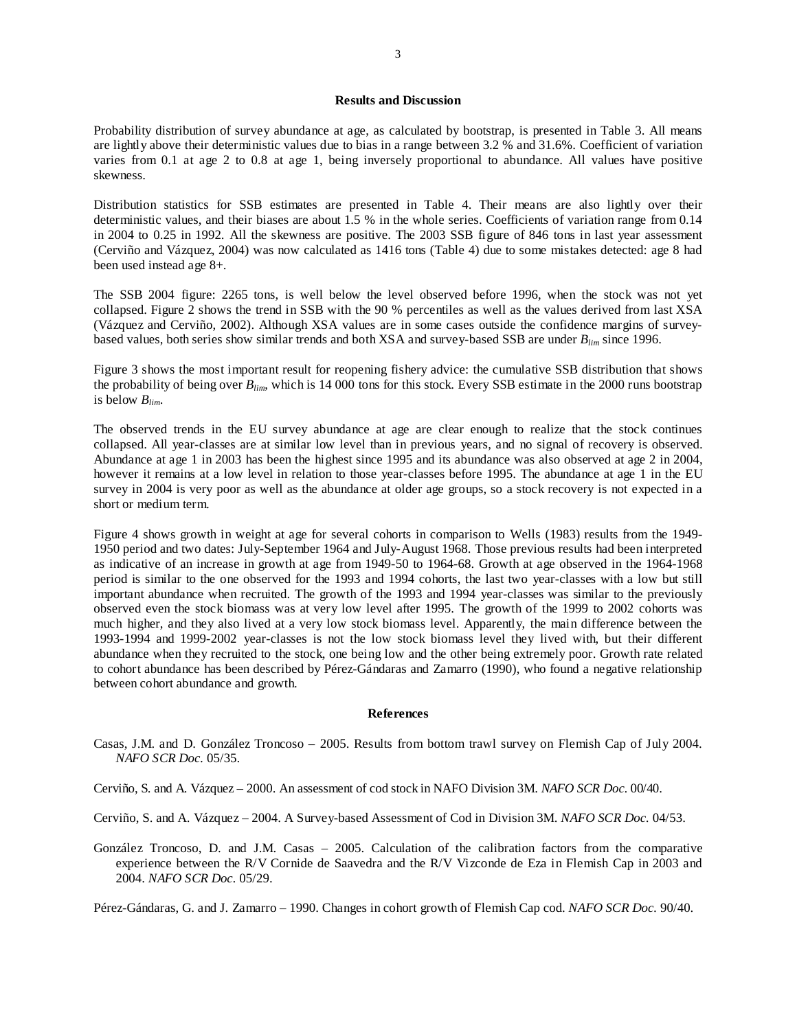### **Results and Discussion**

Probability distribution of survey abundance at age, as calculated by bootstrap, is presented in Table 3. All means are lightly above their deterministic values due to bias in a range between 3.2 % and 31.6%. Coefficient of variation varies from 0.1 at age 2 to 0.8 at age 1, being inversely proportional to abundance. All values have positive skewness.

Distribution statistics for SSB estimates are presented in Table 4. Their means are also lightly over their deterministic values, and their biases are about 1.5 % in the whole series. Coefficients of variation range from 0.14 in 2004 to 0.25 in 1992. All the skewness are positive. The 2003 SSB figure of 846 tons in last year assessment (Cerviño and Vázquez, 2004) was now calculated as 1416 tons (Table 4) due to some mistakes detected: age 8 had been used instead age 8+.

The SSB 2004 figure: 2265 tons, is well below the level observed before 1996, when the stock was not yet collapsed. Figure 2 shows the trend in SSB with the 90 % percentiles as well as the values derived from last XSA (Vázquez and Cerviño, 2002). Although XSA values are in some cases outside the confidence margins of surveybased values, both series show similar trends and both XSA and survey-based SSB are under *Blim* since 1996.

Figure 3 shows the most important result for reopening fishery advice: the cumulative SSB distribution that shows the probability of being over *Blim*, which is 14 000 tons for this stock. Every SSB estimate in the 2000 runs bootstrap is below *Blim*.

The observed trends in the EU survey abundance at age are clear enough to realize that the stock continues collapsed. All year-classes are at similar low level than in previous years, and no signal of recovery is observed. Abundance at age 1 in 2003 has been the highest since 1995 and its abundance was also observed at age 2 in 2004, however it remains at a low level in relation to those year-classes before 1995. The abundance at age 1 in the EU survey in 2004 is very poor as well as the abundance at older age groups, so a stock recovery is not expected in a short or medium term.

Figure 4 shows growth in weight at age for several cohorts in comparison to Wells (1983) results from the 1949- 1950 period and two dates: July-September 1964 and July-August 1968. Those previous results had been interpreted as indicative of an increase in growth at age from 1949-50 to 1964-68. Growth at age observed in the 1964-1968 period is similar to the one observed for the 1993 and 1994 cohorts, the last two year-classes with a low but still important abundance when recruited. The growth of the 1993 and 1994 year-classes was similar to the previously observed even the stock biomass was at very low level after 1995. The growth of the 1999 to 2002 cohorts was much higher, and they also lived at a very low stock biomass level. Apparently, the main difference between the 1993-1994 and 1999-2002 year-classes is not the low stock biomass level they lived with, but their different abundance when they recruited to the stock, one being low and the other being extremely poor. Growth rate related to cohort abundance has been described by Pérez-Gándaras and Zamarro (1990), who found a negative relationship between cohort abundance and growth.

#### **References**

Casas, J.M. and D. González Troncoso – 2005. Results from bottom trawl survey on Flemish Cap of July 2004. *NAFO SCR Doc.* 05/35.

Cerviño, S. and A. Vázquez – 2000. An assessment of cod stock in NAFO Division 3M. *NAFO SCR Doc.* 00/40.

Cerviño, S. and A. Vázquez – 2004. A Survey-based Assessment of Cod in Division 3M. *NAFO SCR Doc.* 04/53.

González Troncoso, D. and J.M. Casas – 2005. Calculation of the calibration factors from the comparative experience between the R/V Cornide de Saavedra and the R/V Vizconde de Eza in Flemish Cap in 2003 and 2004. *NAFO SCR Doc.* 05/29.

Pérez-Gándaras, G. and J. Zamarro – 1990. Changes in cohort growth of Flemish Cap cod. *NAFO SCR Doc.* 90/40.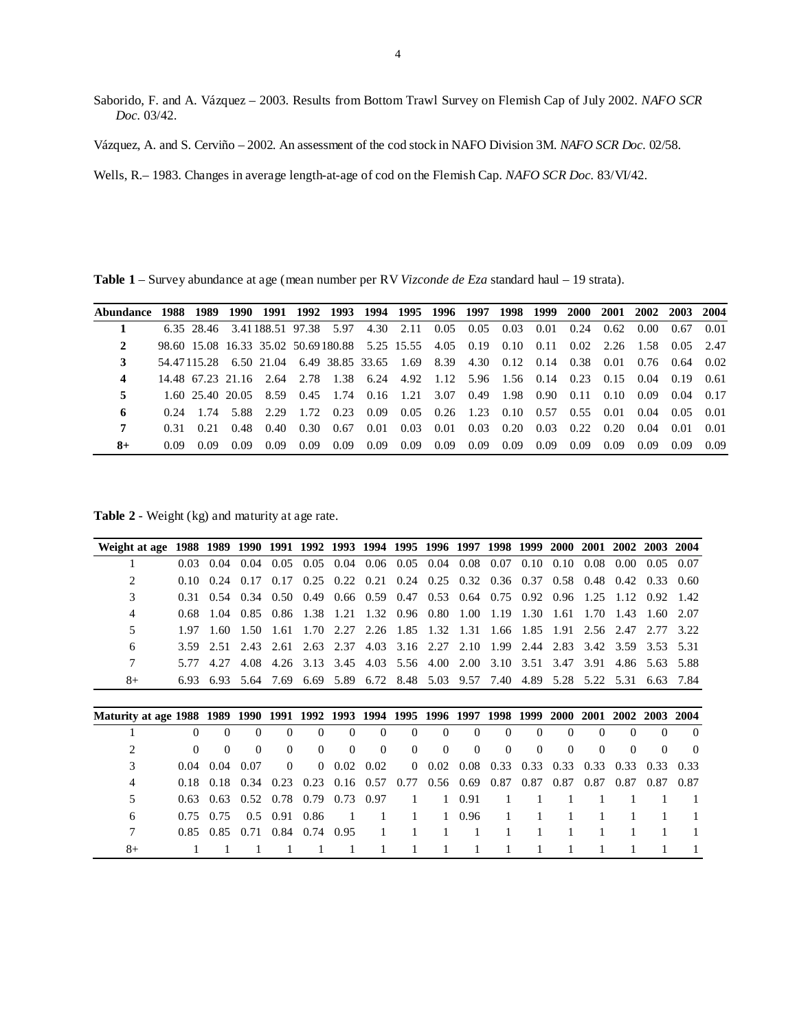- Saborido, F. and A. Vázquez 2003. Results from Bottom Trawl Survey on Flemish Cap of July 2002. *NAFO SCR Doc.* 03/42.
- Vázquez, A. and S. Cerviño 2002. An assessment of the cod stock in NAFO Division 3M. *NAFO SCR Doc.* 02/58.
- Wells, R.– 1983. Changes in average length-at-age of cod on the Flemish Cap. *NAFO SCR Doc.* 83/VI/42.

**Table 1** – Survey abundance at age (mean number per RV *Vizconde de Eza* standard haul – 19 strata).

| Abundance 1988 1989 1990 1991 1992 1993 1994 1995 1996 1997 1998 1999 2000 2001 2002 2003 2004 |      |       |       |       |        |                                                                                             |                                    |  |  |      |      |           |
|------------------------------------------------------------------------------------------------|------|-------|-------|-------|--------|---------------------------------------------------------------------------------------------|------------------------------------|--|--|------|------|-----------|
|                                                                                                |      |       |       |       |        | 6.35 28.46 3.41 188.51 97.38 5.97 4.30 2.11 0.05 0.05 0.03 0.01 0.24 0.62 0.00 0.67 0.01    |                                    |  |  |      |      |           |
|                                                                                                |      |       |       |       |        | 98.60 15.08 16.33 35.02 50.69180.88 5.25 15.55 4.05 0.19 0.10 0.11 0.02 2.26 1.58 0.05 2.47 |                                    |  |  |      |      |           |
|                                                                                                |      |       |       |       |        | 54.47115.28 6.50 21.04 6.49 38.85 33.65 1.69 8.39 4.30 0.12 0.14 0.38 0.01 0.76 0.64 0.02   |                                    |  |  |      |      |           |
| 4                                                                                              |      |       |       |       |        | 14.48 67.23 21.16 2.64 2.78 1.38 6.24 4.92 1.12 5.96 1.56 0.14 0.23 0.15 0.04 0.19 0.61     |                                    |  |  |      |      |           |
|                                                                                                |      |       |       |       |        | 1.60 25.40 20.05 8.59 0.45 1.74 0.16 1.21 3.07 0.49 1.98 0.90 0.11 0.10 0.09 0.04 0.17      |                                    |  |  |      |      |           |
| 6                                                                                              |      |       |       |       |        | 0.24 1.74 5.88 2.29 1.72 0.23 0.09 0.05 0.26 1.23 0.10 0.57 0.55 0.01 0.04 0.05 0.01        |                                    |  |  |      |      |           |
|                                                                                                | 0.31 |       |       |       |        | 0.21 0.48 0.40 0.30 0.67 0.01 0.03 0.01 0.03 0.20 0.03 0.22 0.20 0.04 0.01 0.01             |                                    |  |  |      |      |           |
| $8+$                                                                                           | 0.09 | -0.09 | -0.09 | -0.09 | - 0.09 | 0.09                                                                                        | 0.09 0.09 0.09 0.09 0.09 0.09 0.09 |  |  | 0.09 | 0.09 | 0.09 0.09 |

**Table 2** - Weight (kg) and maturity at age rate.

| Weight at age                                                     |          | 1988 1989 1990 |          | 1991 1992 1993 1994 1995 1996 1997 |          |          |                   |          |                   |          | 1998     | 1999      | <b>2000</b> | <b>2001</b> |          | 2002 2003 | 2004     |
|-------------------------------------------------------------------|----------|----------------|----------|------------------------------------|----------|----------|-------------------|----------|-------------------|----------|----------|-----------|-------------|-------------|----------|-----------|----------|
|                                                                   | 0.03     | 0.04           | 0.04     | 0.05                               | 0.05     | 0.04     | 0.06              |          | $0.05 \quad 0.04$ | 0.08     | 0.07     | 0.10      | 0.10        | 0.08        | 0.00     | 0.05      | 0.07     |
| 2                                                                 | 0.10     | 0.24           | 0.17     | 0.17                               | 0.25     | 0.22     | 0.21              | 0.24     | 0.25              | 0.32     | 0.36     | 0.37      | 0.58        | 0.48        | 0.42     | 0.33      | 0.60     |
| 3                                                                 | 0.31     | 0.54           | 0.34     | 0.50                               | 0.49     |          | $0.66 \quad 0.59$ | 0.47     | 0.53              | 0.64     | 0.75     | 0.92      | 0.96        | 1.25        | 1.12     | 0.92      | 1.42     |
| 4                                                                 | 0.68     | 1.04           | 0.85     | 0.86                               | 1.38     | 1.21     | 1.32              | 0.96     | 0.80              | 1.00     | 1.19     | 1.30      | 1.61        | 1.70        | 1.43     | 1.60      | 2.07     |
| 5                                                                 | 1.97     | 1.60           | 1.50     | 1.61                               | 1.70     | 2.27     | 2.26              | 1.85     | 1.32              | 1.31     | 1.66     | 1.85      | 1.91        | 2.56        | 2.47     | 2.77      | 3.22     |
| 6                                                                 | 3.59     | 2.51           | 2.43     | 2.61                               | 2.63     | 2.37     | 4.03              | 3.16     | 2.27              | 2.10     | 1.99     | 2.44      | 2.83        | 3.42        | 3.59     | 3.53      | 5.31     |
|                                                                   | 5.77     | 4.27           | 4.08     | 4.26                               | 3.13     | 3.45     | 4.03              | 5.56     | 4.00              | 2.00     | 3.10     | 3.51      | 3.47        | 3.91        | 4.86     | 5.63      | 5.88     |
| 8+                                                                | 6.93     | 6.93           | 5.64     | 7.69                               | 6.69     | 5.89     | 6.72              | 8.48     | 5.03              | 9.57     | 7.40     | 4.89      | 5.28        | 5.22        | 5.31     | 6.63      | 7.84     |
|                                                                   |          |                |          |                                    |          |          |                   |          |                   |          |          |           |             |             |          |           |          |
|                                                                   |          |                |          |                                    |          |          |                   |          |                   |          |          |           |             |             |          |           |          |
| Maturity at age 1988 1989 1990 1991 1992 1993 1994 1995 1996 1997 |          |                |          |                                    |          |          |                   |          |                   |          |          | 1998 1999 | <b>2000</b> | <b>2001</b> | 2002     | 2003      | 2004     |
|                                                                   | $\Omega$ | $\Omega$       | $\Omega$ | $\Omega$                           | $\Omega$ | 0        | 0                 | $\Omega$ | $\Omega$          | 0        | 0        | $\Omega$  | $\Omega$    | $\Omega$    | 0        |           | $\Omega$ |
|                                                                   | $\Omega$ | $\Omega$       | $\Omega$ | $\Omega$                           | $\Omega$ | $\Omega$ | 0                 | $\Omega$ | $\Omega$          | $\Omega$ | $\Omega$ | $\Omega$  | $\theta$    | $\Omega$    | $\Omega$ | $\Omega$  | $\Omega$ |
| 3                                                                 | 0.04     | 0.04           | 0.07     | $\Omega$                           | $\Omega$ | 0.02     | 0.02              | $\Omega$ | 0.02              | 0.08     | 0.33     | 0.33      | 0.33        | 0.33        | 0.33     | 0.33      | 0.33     |
| 4                                                                 | 0.18     | 0.18           | 0.34     | 0.23                               | 0.23     | 0.16     | 0.57              | 0.77     | 0.56              | 0.69     | 0.87     | 0.87      | 0.87        | 0.87        | 0.87     | 0.87      | 0.87     |
| 5                                                                 | 0.63     | 0.63           | 0.52     | 0.78                               | 0.79     | 0.73     | 0.97              |          |                   | 0.91     |          |           |             |             |          |           |          |
| 6                                                                 | 0.75     | 0.75           | 0.5      | 0.91                               | 0.86     |          |                   |          |                   | 0.96     |          |           |             |             |          |           |          |
|                                                                   | 0.85     | 0.85           | 0.71     | 0.84                               | 0.74     | 0.95     |                   |          |                   |          |          |           |             |             |          |           |          |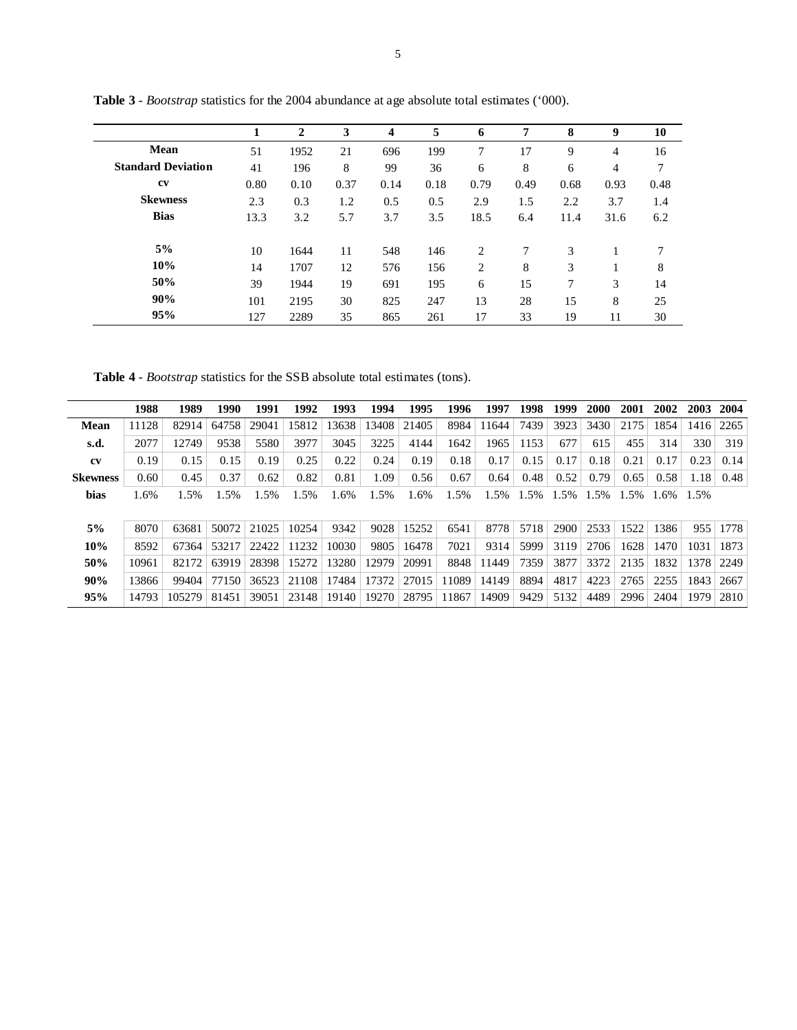|                           |      | $\mathbf 2$ | 3    | 4    | 5    | 6    | 7    | 8    | 9    | 10   |  |
|---------------------------|------|-------------|------|------|------|------|------|------|------|------|--|
| <b>Mean</b>               | 51   | 1952        | 21   | 696  | 199  | 7    | 17   | 9    | 4    | 16   |  |
| <b>Standard Deviation</b> | 41   | 196         | 8    | 99   | 36   | 6    | 8    | 6    | 4    | 7    |  |
| <b>CV</b>                 | 0.80 | 0.10        | 0.37 | 0.14 | 0.18 | 0.79 | 0.49 | 0.68 | 0.93 | 0.48 |  |
| <b>Skewness</b>           | 2.3  | 0.3         | 1.2  | 0.5  | 0.5  | 2.9  | 1.5  | 2.2  | 3.7  | 1.4  |  |
| <b>Bias</b>               | 13.3 | 3.2         | 5.7  | 3.7  | 3.5  | 18.5 | 6.4  | 11.4 | 31.6 | 6.2  |  |
| 5%                        | 10   | 1644        | 11   | 548  | 146  | 2    | 7    | 3    |      |      |  |
| 10%                       | 14   | 1707        | 12   | 576  | 156  | 2    | 8    | 3    |      | 8    |  |
| 50%                       | 39   | 1944        | 19   | 691  | 195  | 6    | 15   | 7    | 3    | 14   |  |
| 90%                       | 101  | 2195        | 30   | 825  | 247  | 13   | 28   | 15   | 8    | 25   |  |
| 95%                       | 127  | 2289        | 35   | 865  | 261  | 17   | 33   | 19   | 11   | 30   |  |

**Table 3** - *Bootstrap* statistics for the 2004 abundance at age absolute total estimates ('000).

**Table 4** - *Bootstrap* statistics for the SSB absolute total estimates (tons).

|                 | 1988  | 1989   | 1990   | 1991  | 1992  | 1993  | 1994  | 1995  | 1996  | 1997  | 1998 | 1999 | 2000 | 2001 | 2002 | 2003 | 2004 |
|-----------------|-------|--------|--------|-------|-------|-------|-------|-------|-------|-------|------|------|------|------|------|------|------|
| <b>Mean</b>     | 11128 | 82914  | 64758  | 29041 | 15812 | 13638 | 13408 | 21405 | 8984  | 11644 | 7439 | 3923 | 3430 | 2175 | 1854 | 1416 | 2265 |
| s.d.            | 2077  | 12749  | 9538   | 5580  | 3977  | 3045  | 3225  | 4144  | 1642  | 1965  | 1153 | 677  | 615  | 455  | 314  | 330  | 319  |
| cv              | 0.19  | 0.15   | 0.15   | 0.19  | 0.25  | 0.22  | 0.24  | 0.19  | 0.18  | 0.17  | 0.15 | 0.17 | 0.18 | 0.21 | 0.17 | 0.23 | 0.14 |
| <b>Skewness</b> | 0.60  | 0.45   | 0.37   | 0.62  | 0.82  | 0.81  | 1.09  | 0.56  | 0.67  | 0.64  | 0.48 | 0.52 | 0.79 | 0.65 | 0.58 | 1.18 | 0.48 |
| bias            | 1.6%  | 1.5%   | $.5\%$ | .5%   | 1.5%  | .6%   | .5%   | .6%   | 1.5%  | 1.5%  | 1.5% | 1.5% | 1.5% | 1.5% | 1.6% | 1.5% |      |
|                 |       |        |        |       |       |       |       |       |       |       |      |      |      |      |      |      |      |
| 5%              | 8070  | 63681  | 50072  | 21025 | 10254 | 9342  | 9028  | 15252 | 6541  | 8778  | 5718 | 2900 | 2533 | 1522 | 1386 | 955  | 1778 |
| 10%             | 8592  | 67364  | 53217  | 22422 | 11232 | 10030 | 9805  | 16478 | 7021  | 9314  | 5999 | 3119 | 2706 | 1628 | 1470 | 1031 | 1873 |
| 50%             | 10961 | 82172  | 63919  | 28398 | 15272 | 13280 | 12979 | 20991 | 8848  | 11449 | 7359 | 3877 | 3372 | 2135 | 1832 | 1378 | 2249 |
| 90%             | 13866 | 99404  | 77150  | 36523 | 21108 | 17484 | 17372 | 27015 | 11089 | 14149 | 8894 | 4817 | 4223 | 2765 | 2255 | 1843 | 2667 |
| 95%             | 14793 | 105279 | 81451  | 39051 | 23148 | 19140 | 19270 | 28795 | 11867 | 14909 | 9429 | 5132 | 4489 | 2996 | 2404 | 1979 | 2810 |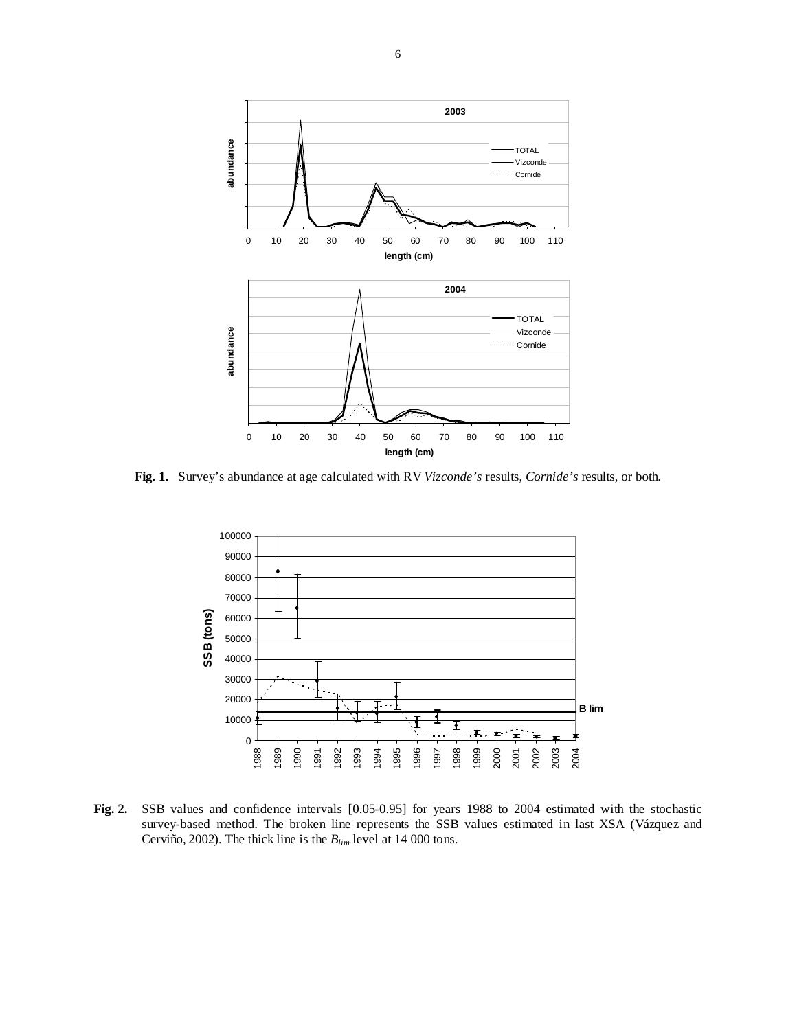

**Fig. 1.** Survey's abundance at age calculated with RV *Vizconde's* results, *Cornide's* results, or both.



**Fig. 2.** SSB values and confidence intervals [0.05-0.95] for years 1988 to 2004 estimated with the stochastic survey-based method. The broken line represents the SSB values estimated in last XSA (Vázquez and Cerviño, 2002). The thick line is the *Blim* level at 14 000 tons.